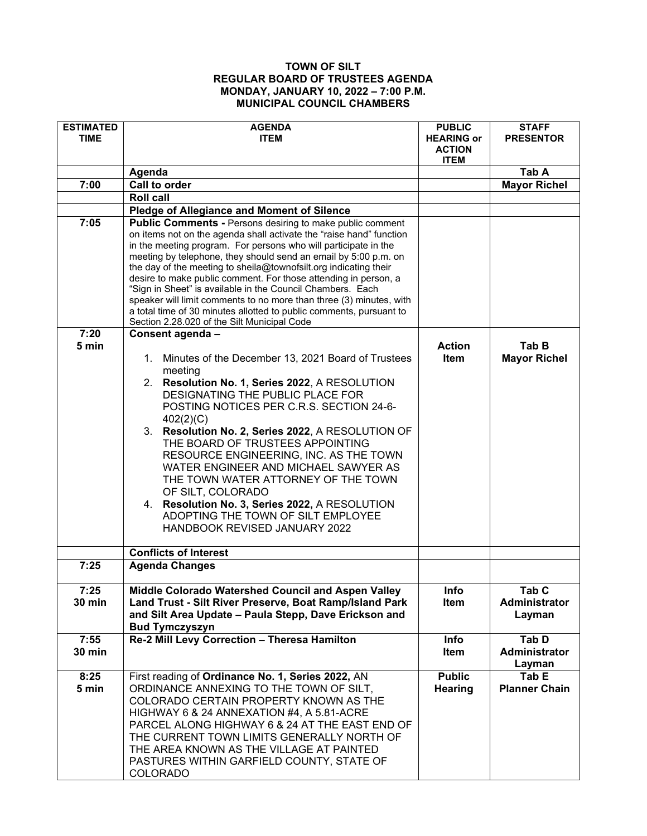## **TOWN OF SILT REGULAR BOARD OF TRUSTEES AGENDA MONDAY, JANUARY 10, 2022 – 7:00 P.M. MUNICIPAL COUNCIL CHAMBERS**

| <b>ESTIMATED</b><br><b>TIME</b> | <b>AGENDA</b><br><b>ITEM</b>                                                                                                                                                                                                                                                                                                                                                                                                                                                                                                                                                                                                                                                                        | <b>PUBLIC</b><br><b>HEARING or</b><br><b>ACTION</b><br><b>ITEM</b> | <b>STAFF</b><br><b>PRESENTOR</b> |
|---------------------------------|-----------------------------------------------------------------------------------------------------------------------------------------------------------------------------------------------------------------------------------------------------------------------------------------------------------------------------------------------------------------------------------------------------------------------------------------------------------------------------------------------------------------------------------------------------------------------------------------------------------------------------------------------------------------------------------------------------|--------------------------------------------------------------------|----------------------------------|
|                                 | Agenda                                                                                                                                                                                                                                                                                                                                                                                                                                                                                                                                                                                                                                                                                              |                                                                    | Tab A                            |
| 7:00                            | Call to order                                                                                                                                                                                                                                                                                                                                                                                                                                                                                                                                                                                                                                                                                       |                                                                    | <b>Mayor Richel</b>              |
|                                 | <b>Roll call</b>                                                                                                                                                                                                                                                                                                                                                                                                                                                                                                                                                                                                                                                                                    |                                                                    |                                  |
|                                 | <b>Pledge of Allegiance and Moment of Silence</b>                                                                                                                                                                                                                                                                                                                                                                                                                                                                                                                                                                                                                                                   |                                                                    |                                  |
| 7:05<br>7:20<br>5 min           | <b>Public Comments - Persons desiring to make public comment</b><br>on items not on the agenda shall activate the "raise hand" function<br>in the meeting program. For persons who will participate in the<br>meeting by telephone, they should send an email by 5:00 p.m. on<br>the day of the meeting to sheila@townofsilt.org indicating their<br>desire to make public comment. For those attending in person, a<br>"Sign in Sheet" is available in the Council Chambers. Each<br>speaker will limit comments to no more than three (3) minutes, with<br>a total time of 30 minutes allotted to public comments, pursuant to<br>Section 2.28.020 of the Silt Municipal Code<br>Consent agenda - | <b>Action</b>                                                      | Tab B                            |
|                                 | Minutes of the December 13, 2021 Board of Trustees<br>1.<br>meeting<br>2. Resolution No. 1, Series 2022, A RESOLUTION<br>DESIGNATING THE PUBLIC PLACE FOR<br>POSTING NOTICES PER C.R.S. SECTION 24-6-<br>402(2)(C)<br>3.<br>Resolution No. 2, Series 2022, A RESOLUTION OF<br>THE BOARD OF TRUSTEES APPOINTING<br>RESOURCE ENGINEERING, INC. AS THE TOWN<br>WATER ENGINEER AND MICHAEL SAWYER AS<br>THE TOWN WATER ATTORNEY OF THE TOWN<br>OF SILT, COLORADO<br>4. Resolution No. 3, Series 2022, A RESOLUTION<br>ADOPTING THE TOWN OF SILT EMPLOYEE<br>HANDBOOK REVISED JANUARY 2022                                                                                                               | Item                                                               | <b>Mayor Richel</b>              |
|                                 | <b>Conflicts of Interest</b>                                                                                                                                                                                                                                                                                                                                                                                                                                                                                                                                                                                                                                                                        |                                                                    |                                  |
| 7:25                            | <b>Agenda Changes</b>                                                                                                                                                                                                                                                                                                                                                                                                                                                                                                                                                                                                                                                                               |                                                                    |                                  |
| 7:25                            | Middle Colorado Watershed Council and Aspen Valley                                                                                                                                                                                                                                                                                                                                                                                                                                                                                                                                                                                                                                                  | Info                                                               | Tab C.                           |
| <b>30 min</b>                   | Land Trust - Silt River Preserve, Boat Ramp/Island Park<br>and Silt Area Update - Paula Stepp, Dave Erickson and<br><b>Bud Tymczyszyn</b>                                                                                                                                                                                                                                                                                                                                                                                                                                                                                                                                                           | Item                                                               | Administrator<br>Layman          |
| 7:55<br><b>30 min</b>           | Re-2 Mill Levy Correction - Theresa Hamilton                                                                                                                                                                                                                                                                                                                                                                                                                                                                                                                                                                                                                                                        | Info<br>Item                                                       | Tab D<br>Administrator<br>Layman |
| 8:25<br>5 min                   | First reading of Ordinance No. 1, Series 2022, AN<br>ORDINANCE ANNEXING TO THE TOWN OF SILT.<br>COLORADO CERTAIN PROPERTY KNOWN AS THE<br>HIGHWAY 6 & 24 ANNEXATION #4, A 5.81-ACRE<br>PARCEL ALONG HIGHWAY 6 & 24 AT THE EAST END OF<br>THE CURRENT TOWN LIMITS GENERALLY NORTH OF<br>THE AREA KNOWN AS THE VILLAGE AT PAINTED<br>PASTURES WITHIN GARFIELD COUNTY, STATE OF<br><b>COLORADO</b>                                                                                                                                                                                                                                                                                                     | <b>Public</b><br><b>Hearing</b>                                    | Tab E<br><b>Planner Chain</b>    |